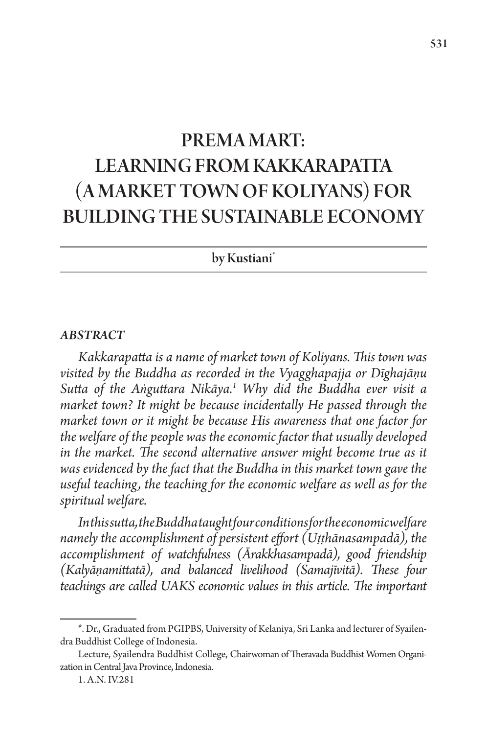# PREMA MART: LEARNING FROM KAKKARAPATTA (A MARKET TOWN OF KOLIYANS) FOR BUILDING THE SUSTAINABLE ECONOMY

by Kustiani<sup>\*</sup>

#### *ABSTRACT*

*Kakkarapatta is a name of market town of Koliyans. This town was visited by the Buddha as recorded in the Vyagghapajja or Dīghajāṇu Sutta of the Aṅguttara Nikāya.1 Why did the Buddha ever visit a market town? It might be because incidentally He passed through the market town or it might be because His awareness that one factor for the welfare of the people was the economic factor that usually developed in the market. The second alternative answer might become true as it was evidenced by the fact that the Buddha in this market town gave the useful teaching, the teaching for the economic welfare as well as for the spiritual welfare.*

*In this sutta, the Buddha taught four conditions for the economic welfare namely the accomplishment of persistent effort (Uṭṭhānasampadā), the accomplishment of watchfulness (Ārakkhasampadā), good friendship (Kalyāṇamittatā), and balanced livelihood (Samajīvitā). These four teachings are called UAKS economic values in this article. The important* 

<sup>\*.</sup> Dr., Graduated from PGIPBS, University of Kelaniya, Sri Lanka and lecturer of Syailendra Buddhist College of Indonesia.

Lecture, Syailendra Buddhist College, Chairwoman of Theravada Buddhist Women Organization in Central Java Province, Indonesia.

<sup>1.</sup> A.N. IV.281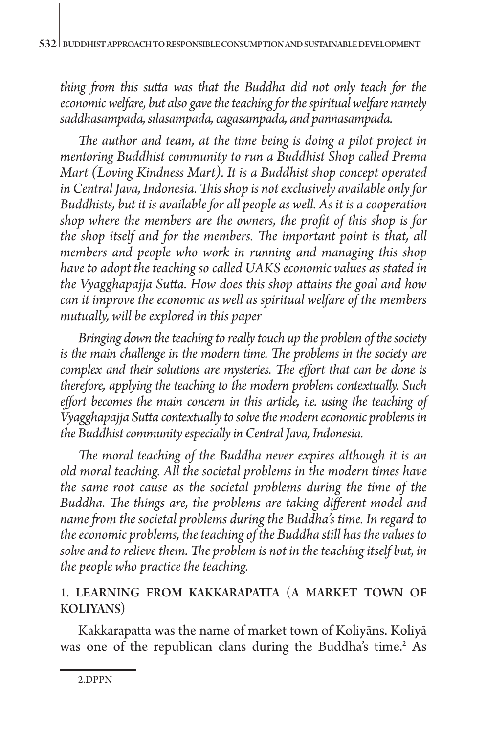*thing from this sutta was that the Buddha did not only teach for the economic welfare, but also gave the teaching for the spiritual welfare namely saddhāsampadā, sīlasampadā, cāgasampadā, and paññāsampadā.*

*The author and team, at the time being is doing a pilot project in mentoring Buddhist community to run a Buddhist Shop called Prema Mart (Loving Kindness Mart). It is a Buddhist shop concept operated in Central Java, Indonesia. This shop is not exclusively available only for Buddhists, but it is available for all people as well. As it is a cooperation shop where the members are the owners, the profit of this shop is for the shop itself and for the members. The important point is that, all members and people who work in running and managing this shop have to adopt the teaching so called UAKS economic values as stated in the Vyagghapajja Sutta. How does this shop attains the goal and how can it improve the economic as well as spiritual welfare of the members mutually, will be explored in this paper* 

*Bringing down the teaching to really touch up the problem of the society is the main challenge in the modern time. The problems in the society are complex and their solutions are mysteries. The effort that can be done is therefore, applying the teaching to the modern problem contextually. Such effort becomes the main concern in this article, i.e. using the teaching of Vyagghapajja Sutta contextually to solve the modern economic problems in the Buddhist community especially in Central Java, Indonesia.* 

*The moral teaching of the Buddha never expires although it is an old moral teaching. All the societal problems in the modern times have the same root cause as the societal problems during the time of the Buddha. The things are, the problems are taking different model and name from the societal problems during the Buddha's time. In regard to the economic problems, the teaching of the Buddha still has the values to solve and to relieve them. The problem is not in the teaching itself but, in the people who practice the teaching.*

# 1. LEARNING FROM KAKKARAPATTA (A MARKET TOWN OF KOLIYANS)

Kakkarapatta was the name of market town of Koliyāns. Koliyā was one of the republican clans during the Buddha's time.<sup>2</sup> As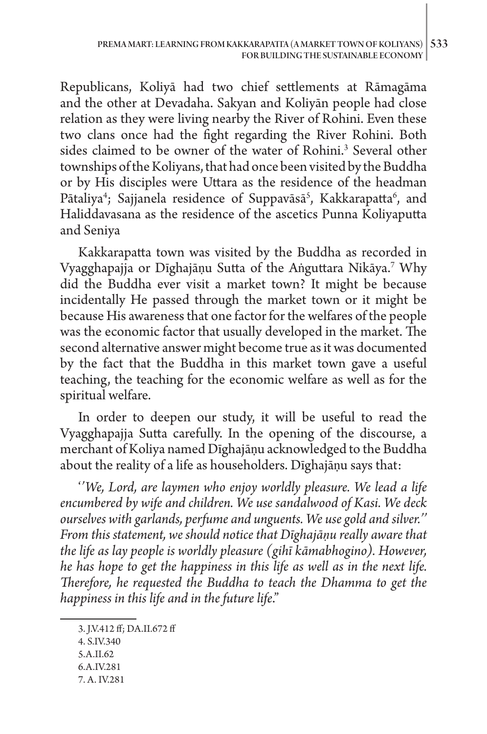Republicans, Koliyā had two chief settlements at Rāmagāma and the other at Devadaha. Sakyan and Koliyān people had close relation as they were living nearby the River of Rohini. Even these two clans once had the fight regarding the River Rohini. Both sides claimed to be owner of the water of Rohini.<sup>3</sup> Several other townships of the Koliyans, that had once been visited by the Buddha or by His disciples were Uttara as the residence of the headman Pātaliya<sup>4</sup>; Sajjanela residence of Suppavāsā<sup>5</sup>, Kakkarapatta<sup>6</sup>, and Haliddavasana as the residence of the ascetics Punna Koliyaputta and Seniya

Kakkarapatta town was visited by the Buddha as recorded in Vyagghapajja or Dīghajāṇu Sutta of the Aṅguttara Nikāya.7 Why did the Buddha ever visit a market town? It might be because incidentally He passed through the market town or it might be because His awareness that one factor for the welfares of the people was the economic factor that usually developed in the market. The second alternative answer might become true as it was documented by the fact that the Buddha in this market town gave a useful teaching, the teaching for the economic welfare as well as for the spiritual welfare.

In order to deepen our study, it will be useful to read the Vyagghapajja Sutta carefully. In the opening of the discourse, a merchant of Koliya named Dīghajāṇu acknowledged to the Buddha about the reality of a life as householders. Dīghajāṇu says that:

'*'We, Lord, are laymen who enjoy worldly pleasure. We lead a life encumbered by wife and children. We use sandalwood of Kasi. We deck ourselves with garlands, perfume and unguents. We use gold and silver.'' From this statement, we should notice that Dīghajāṇu really aware that the life as lay people is worldly pleasure (gihī kāmabhogino). However, he has hope to get the happiness in this life as well as in the next life. Therefore, he requested the Buddha to teach the Dhamma to get the happiness in this life and in the future life*."

- 4. S.IV.340
- 5.A.II.62
- 6.A.IV.281
- 7. A. IV.281

<sup>3.</sup> J.V.412 ff; DA.II.672 ff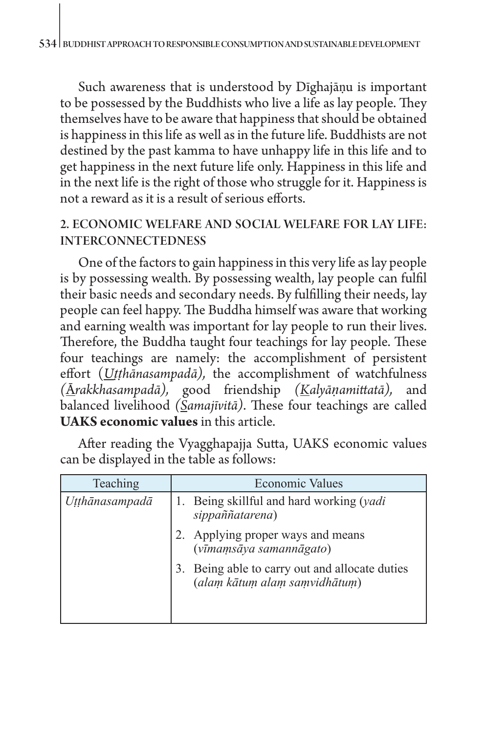Such awareness that is understood by Dīghajāṇu is important to be possessed by the Buddhists who live a life as lay people. They themselves have to be aware that happiness that should be obtained is happiness in this life as well as in the future life. Buddhists are not destined by the past kamma to have unhappy life in this life and to get happiness in the next future life only. Happiness in this life and in the next life is the right of those who struggle for it. Happiness is not a reward as it is a result of serious efforts.

## 2. ECONOMIC WELFARE AND SOCIAL WELFARE FOR LAY LIFE: INTERCONNECTEDNESS

One of the factors to gain happiness in this very life as lay people is by possessing wealth. By possessing wealth, lay people can fulfil their basic needs and secondary needs. By fulfilling their needs, lay people can feel happy. The Buddha himself was aware that working and earning wealth was important for lay people to run their lives. Therefore, the Buddha taught four teachings for lay people. These four teachings are namely: the accomplishment of persistent effort (*Uṭṭhānasampadā),* the accomplishment of watchfulness *(*Ā*rakkhasampadā),* good friendship *(Kalyāṇamittatā),* and balanced livelihood *(Samajīvitā)*. These four teachings are called **UAKS economic values** in this article.

| Teaching       | <b>Economic Values</b>                                                       |
|----------------|------------------------------------------------------------------------------|
| Utthānasampadā | Being skillful and hard working (yadi<br>sippaññatarena)                     |
|                | 2. Applying proper ways and means<br>(vīmamsāya samannāgato)                 |
|                | Being able to carry out and allocate duties<br>(alam kātum alam samvidhātum) |

After reading the Vyagghapajja Sutta, UAKS economic values can be displayed in the table as follows: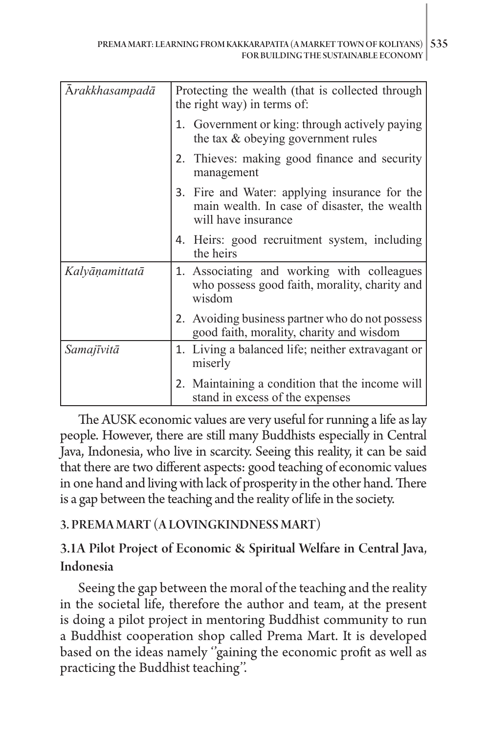| Arakkhasampadā | Protecting the wealth (that is collected through<br>the right way) in terms of:                                      |
|----------------|----------------------------------------------------------------------------------------------------------------------|
|                | 1. Government or king: through actively paying<br>the tax $&$ obeying government rules                               |
|                | 2. Thieves: making good finance and security<br>management                                                           |
|                | 3. Fire and Water: applying insurance for the<br>main wealth. In case of disaster, the wealth<br>will have insurance |
|                | 4. Heirs: good recruitment system, including<br>the heirs                                                            |
| Kalyāņamittatā | 1. Associating and working with colleagues<br>who possess good faith, morality, charity and<br>wisdom                |
|                | 2. Avoiding business partner who do not possess<br>good faith, morality, charity and wisdom                          |
| Samajīvitā     | 1. Living a balanced life; neither extravagant or<br>miserly                                                         |
|                | 2. Maintaining a condition that the income will<br>stand in excess of the expenses                                   |

The AUSK economic values are very useful for running a life as lay people. However, there are still many Buddhists especially in Central Java, Indonesia, who live in scarcity. Seeing this reality, it can be said that there are two different aspects: good teaching of economic values in one hand and living with lack of prosperity in the other hand. There is a gap between the teaching and the reality of life in the society.

# 3. PREMA MART (A LOVINGKINDNESS MART)

# 3.1A Pilot Project of Economic & Spiritual Welfare in Central Java, Indonesia

Seeing the gap between the moral of the teaching and the reality in the societal life, therefore the author and team, at the present is doing a pilot project in mentoring Buddhist community to run a Buddhist cooperation shop called Prema Mart. It is developed based on the ideas namely ''gaining the economic profit as well as practicing the Buddhist teaching''.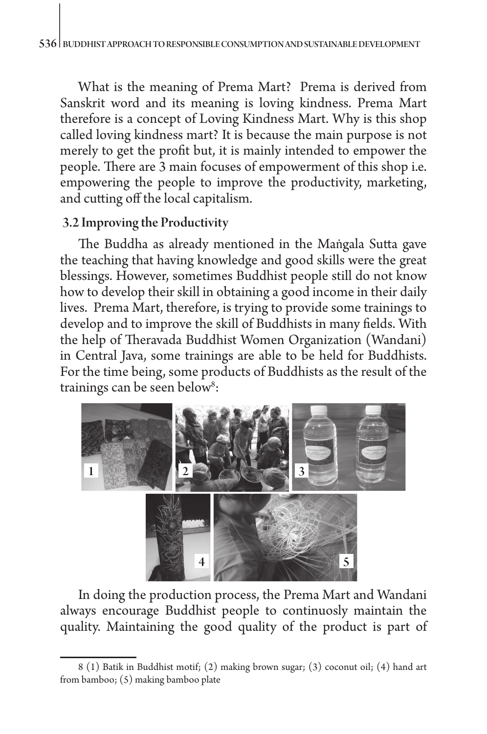What is the meaning of Prema Mart? Prema is derived from Sanskrit word and its meaning is loving kindness. Prema Mart therefore is a concept of Loving Kindness Mart. Why is this shop called loving kindness mart? It is because the main purpose is not merely to get the profit but, it is mainly intended to empower the people. There are 3 main focuses of empowerment of this shop i.e. empowering the people to improve the productivity, marketing, and cutting off the local capitalism.

#### 3.2 Improving the Productivity

The Buddha as already mentioned in the Maṅgala Sutta gave the teaching that having knowledge and good skills were the great blessings. However, sometimes Buddhist people still do not know how to develop their skill in obtaining a good income in their daily lives. Prema Mart, therefore, is trying to provide some trainings to develop and to improve the skill of Buddhists in many fields. With the help of Theravada Buddhist Women Organization (Wandani) in Central Java, some trainings are able to be held for Buddhists. For the time being, some products of Buddhists as the result of the trainings can be seen below<sup>8</sup>:



In doing the production process, the Prema Mart and Wandani always encourage Buddhist people to continuosly maintain the quality. Maintaining the good quality of the product is part of

<sup>8 (1)</sup> Batik in Buddhist motif; (2) making brown sugar; (3) coconut oil; (4) hand art from bamboo; (5) making bamboo plate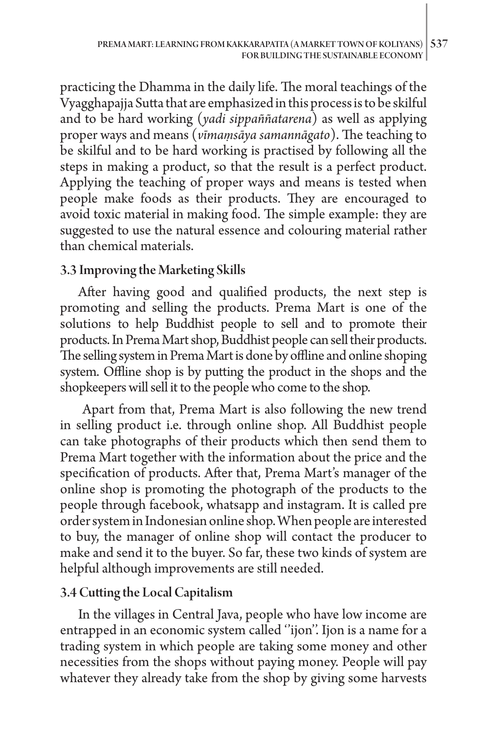practicing the Dhamma in the daily life. The moral teachings of the Vyagghapajja Sutta that are emphasized in this process is to be skilful and to be hard working (*yadi sippaññatarena*) as well as applying proper ways and means (*vīmamsāya samannāgato*). The teaching to be skilful and to be hard working is practised by following all the steps in making a product, so that the result is a perfect product. Applying the teaching of proper ways and means is tested when people make foods as their products. They are encouraged to avoid toxic material in making food. The simple example: they are suggested to use the natural essence and colouring material rather than chemical materials.

### 3.3 Improving the Marketing Skills

After having good and qualified products, the next step is promoting and selling the products. Prema Mart is one of the solutions to help Buddhist people to sell and to promote their products. In Prema Mart shop, Buddhist people can sell their products. The selling system in Prema Mart is done by offline and online shoping system. Offline shop is by putting the product in the shops and the shopkeepers will sell it to the people who come to the shop.

 Apart from that, Prema Mart is also following the new trend in selling product i.e. through online shop. All Buddhist people can take photographs of their products which then send them to Prema Mart together with the information about the price and the specification of products. After that, Prema Mart's manager of the online shop is promoting the photograph of the products to the people through facebook, whatsapp and instagram. It is called pre order system in Indonesian online shop. When people are interested to buy, the manager of online shop will contact the producer to make and send it to the buyer. So far, these two kinds of system are helpful although improvements are still needed.

#### 3.4 Cutting the Local Capitalism

In the villages in Central Java, people who have low income are entrapped in an economic system called ''ijon''. Ijon is a name for a trading system in which people are taking some money and other necessities from the shops without paying money. People will pay whatever they already take from the shop by giving some harvests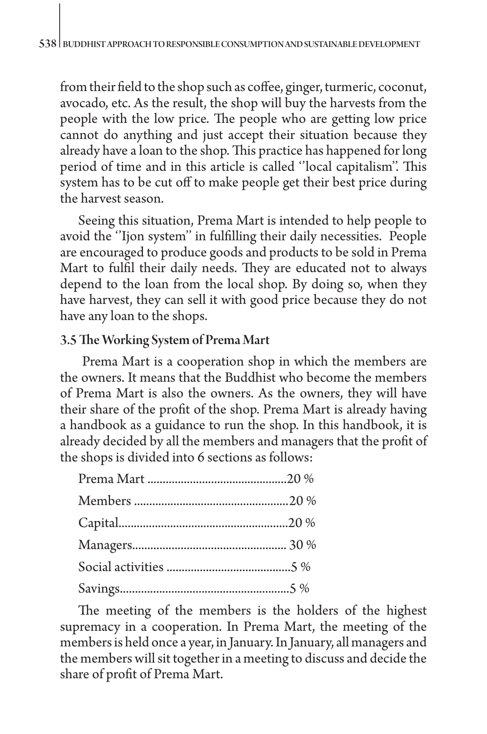from their field to the shop such as coffee, ginger, turmeric, coconut, avocado, etc. As the result, the shop will buy the harvests from the people with the low price. The people who are getting low price cannot do anything and just accept their situation because they already have a loan to the shop. This practice has happened for long period of time and in this article is called ''local capitalism''. This system has to be cut off to make people get their best price during the harvest season.

Seeing this situation, Prema Mart is intended to help people to avoid the ''Ijon system'' in fulfilling their daily necessities. People are encouraged to produce goods and products to be sold in Prema Mart to fulfil their daily needs. They are educated not to always depend to the loan from the local shop. By doing so, when they have harvest, they can sell it with good price because they do not have any loan to the shops.

#### 3.5 The Working System of Prema Mart

 Prema Mart is a cooperation shop in which the members are the owners. It means that the Buddhist who become the members of Prema Mart is also the owners. As the owners, they will have their share of the profit of the shop. Prema Mart is already having a handbook as a guidance to run the shop. In this handbook, it is already decided by all the members and managers that the profit of the shops is divided into 6 sections as follows:

The meeting of the members is the holders of the highest supremacy in a cooperation. In Prema Mart, the meeting of the members is held once a year, in January. In January, all managers and the members will sit together in a meeting to discuss and decide the share of profit of Prema Mart.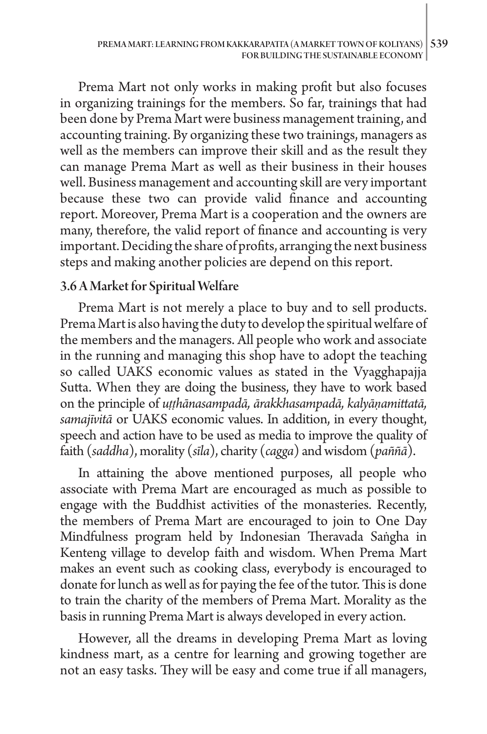Prema Mart not only works in making profit but also focuses in organizing trainings for the members. So far, trainings that had been done by Prema Mart were business management training, and accounting training. By organizing these two trainings, managers as well as the members can improve their skill and as the result they can manage Prema Mart as well as their business in their houses well. Business management and accounting skill are very important because these two can provide valid finance and accounting report. Moreover, Prema Mart is a cooperation and the owners are many, therefore, the valid report of finance and accounting is very important. Deciding the share of profits, arranging the next business steps and making another policies are depend on this report.

#### 3.6 A Market for Spiritual Welfare

Prema Mart is not merely a place to buy and to sell products. Prema Mart is also having the duty to develop the spiritual welfare of the members and the managers. All people who work and associate in the running and managing this shop have to adopt the teaching so called UAKS economic values as stated in the Vyagghapajja Sutta. When they are doing the business, they have to work based on the principle of *uṭṭhānasampadā, ārakkhasampadā, kalyāṇamittatā, samajīvitā* or UAKS economic values. In addition, in every thought, speech and action have to be used as media to improve the quality of faith (*saddha*), morality (*sīla*), charity (*cagga*) and wisdom (*paññā*).

In attaining the above mentioned purposes, all people who associate with Prema Mart are encouraged as much as possible to engage with the Buddhist activities of the monasteries. Recently, the members of Prema Mart are encouraged to join to One Day Mindfulness program held by Indonesian Theravada Saṅgha in Kenteng village to develop faith and wisdom. When Prema Mart makes an event such as cooking class, everybody is encouraged to donate for lunch as well as for paying the fee of the tutor. This is done to train the charity of the members of Prema Mart. Morality as the basis in running Prema Mart is always developed in every action.

However, all the dreams in developing Prema Mart as loving kindness mart, as a centre for learning and growing together are not an easy tasks. They will be easy and come true if all managers,